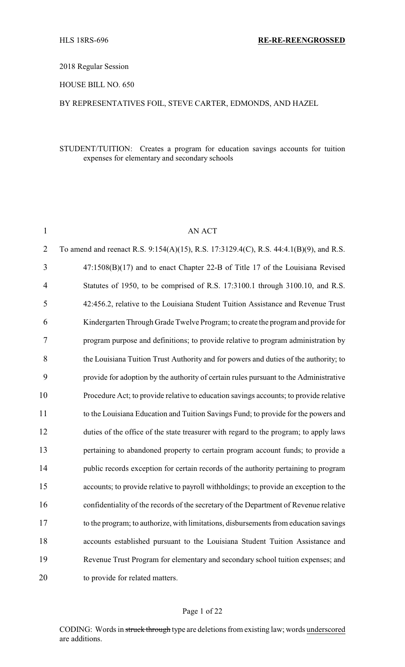## 2018 Regular Session

## HOUSE BILL NO. 650

## BY REPRESENTATIVES FOIL, STEVE CARTER, EDMONDS, AND HAZEL

## STUDENT/TUITION: Creates a program for education savings accounts for tuition expenses for elementary and secondary schools

| $\mathbf{1}$   | <b>AN ACT</b>                                                                          |
|----------------|----------------------------------------------------------------------------------------|
| $\overline{2}$ | To amend and reenact R.S. 9:154(A)(15), R.S. 17:3129.4(C), R.S. 44:4.1(B)(9), and R.S. |
| 3              | 47:1508(B)(17) and to enact Chapter 22-B of Title 17 of the Louisiana Revised          |
| 4              | Statutes of 1950, to be comprised of R.S. 17:3100.1 through 3100.10, and R.S.          |
| 5              | 42:456.2, relative to the Louisiana Student Tuition Assistance and Revenue Trust       |
| 6              | Kindergarten Through Grade Twelve Program; to create the program and provide for       |
| 7              | program purpose and definitions; to provide relative to program administration by      |
| 8              | the Louisiana Tuition Trust Authority and for powers and duties of the authority; to   |
| 9              | provide for adoption by the authority of certain rules pursuant to the Administrative  |
| 10             | Procedure Act; to provide relative to education savings accounts; to provide relative  |
| 11             | to the Louisiana Education and Tuition Savings Fund; to provide for the powers and     |
| 12             | duties of the office of the state treasurer with regard to the program; to apply laws  |
| 13             | pertaining to abandoned property to certain program account funds; to provide a        |
| 14             | public records exception for certain records of the authority pertaining to program    |
| 15             | accounts; to provide relative to payroll withholdings; to provide an exception to the  |
| 16             | confidentiality of the records of the secretary of the Department of Revenue relative  |
| 17             | to the program; to authorize, with limitations, disbursements from education savings   |
| 18             | accounts established pursuant to the Louisiana Student Tuition Assistance and          |
| 19             | Revenue Trust Program for elementary and secondary school tuition expenses; and        |
| 20             | to provide for related matters.                                                        |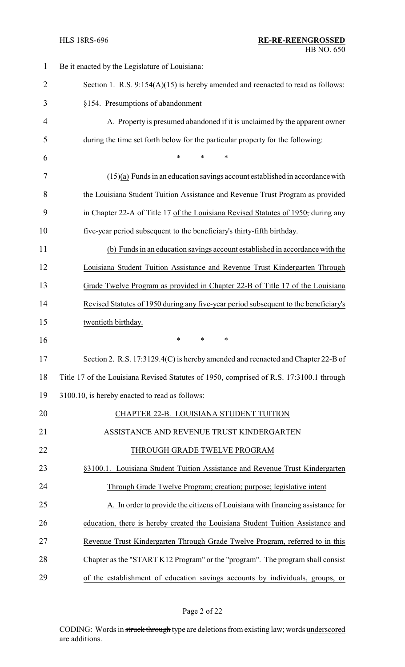| $\mathbf{1}$   | Be it enacted by the Legislature of Louisiana:                                          |
|----------------|-----------------------------------------------------------------------------------------|
| $\overline{2}$ | Section 1. R.S. $9:154(A)(15)$ is hereby amended and reenacted to read as follows:      |
| 3              | §154. Presumptions of abandonment                                                       |
| $\overline{4}$ | A. Property is presumed abandoned if it is unclaimed by the apparent owner              |
| 5              | during the time set forth below for the particular property for the following:          |
| 6              | $\ast$<br>$\ast$<br>$\ast$                                                              |
| 7              | $(15)(a)$ Funds in an education savings account established in accordance with          |
| 8              | the Louisiana Student Tuition Assistance and Revenue Trust Program as provided          |
| 9              | in Chapter 22-A of Title 17 of the Louisiana Revised Statutes of 1950, during any       |
| 10             | five-year period subsequent to the beneficiary's thirty-fifth birthday.                 |
| 11             | (b) Funds in an education savings account established in accordance with the            |
| 12             | Louisiana Student Tuition Assistance and Revenue Trust Kindergarten Through             |
| 13             | Grade Twelve Program as provided in Chapter 22-B of Title 17 of the Louisiana           |
| 14             | Revised Statutes of 1950 during any five-year period subsequent to the beneficiary's    |
| 15             | twentieth birthday.                                                                     |
| 16             | $\ast$<br>$\ast$<br>$\ast$                                                              |
| 17             | Section 2. R.S. 17:3129.4(C) is hereby amended and reenacted and Chapter 22-B of        |
| 18             | Title 17 of the Louisiana Revised Statutes of 1950, comprised of R.S. 17:3100.1 through |
| 19             | 3100.10, is hereby enacted to read as follows:                                          |
| 20             | CHAPTER 22-B. LOUISIANA STUDENT TUITION                                                 |
| 21             | ASSISTANCE AND REVENUE TRUST KINDERGARTEN                                               |
| 22             | THROUGH GRADE TWELVE PROGRAM                                                            |
| 23             | §3100.1. Louisiana Student Tuition Assistance and Revenue Trust Kindergarten            |
| 24             | Through Grade Twelve Program; creation; purpose; legislative intent                     |
| 25             | A. In order to provide the citizens of Louisiana with financing assistance for          |
| 26             | education, there is hereby created the Louisiana Student Tuition Assistance and         |
| 27             | Revenue Trust Kindergarten Through Grade Twelve Program, referred to in this            |
| 28             | Chapter as the "START K12 Program" or the "program". The program shall consist          |
| 29             | of the establishment of education savings accounts by individuals, groups, or           |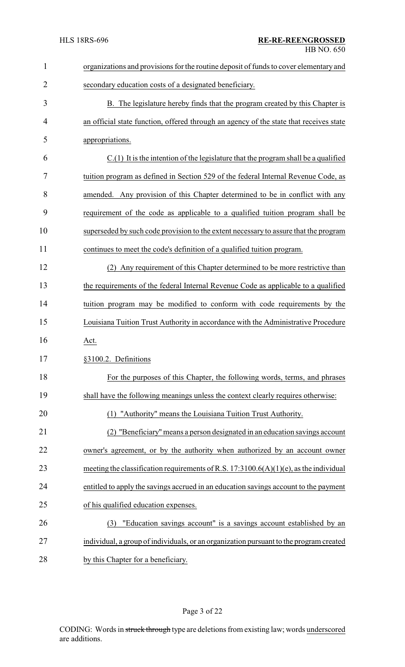| $\mathbf{1}$   | organizations and provisions for the routine deposit of funds to cover elementary and    |
|----------------|------------------------------------------------------------------------------------------|
| $\overline{2}$ | secondary education costs of a designated beneficiary.                                   |
| 3              | B. The legislature hereby finds that the program created by this Chapter is              |
| 4              | an official state function, offered through an agency of the state that receives state   |
| 5              | appropriations.                                                                          |
| 6              | $C(1)$ It is the intention of the legislature that the program shall be a qualified      |
| 7              | tuition program as defined in Section 529 of the federal Internal Revenue Code, as       |
| 8              | amended. Any provision of this Chapter determined to be in conflict with any             |
| 9              | requirement of the code as applicable to a qualified tuition program shall be            |
| 10             | superseded by such code provision to the extent necessary to assure that the program     |
| 11             | continues to meet the code's definition of a qualified tuition program.                  |
| 12             | (2) Any requirement of this Chapter determined to be more restrictive than               |
| 13             | the requirements of the federal Internal Revenue Code as applicable to a qualified       |
| 14             | tuition program may be modified to conform with code requirements by the                 |
| 15             | Louisiana Tuition Trust Authority in accordance with the Administrative Procedure        |
| 16             | Act.                                                                                     |
| 17             | §3100.2. Definitions                                                                     |
| 18             | For the purposes of this Chapter, the following words, terms, and phrases                |
| 19             | shall have the following meanings unless the context clearly requires otherwise:         |
| 20             | (1) "Authority" means the Louisiana Tuition Trust Authority.                             |
| 21             | "Beneficiary" means a person designated in an education savings account                  |
| 22             | owner's agreement, or by the authority when authorized by an account owner               |
| 23             | meeting the classification requirements of R.S. $17:3100.6(A)(1)(e)$ , as the individual |
| 24             | entitled to apply the savings accrued in an education savings account to the payment     |
| 25             | of his qualified education expenses.                                                     |
| 26             | "Education savings account" is a savings account established by an<br>(3)                |
| 27             | individual, a group of individuals, or an organization pursuant to the program created   |
| 28             | by this Chapter for a beneficiary.                                                       |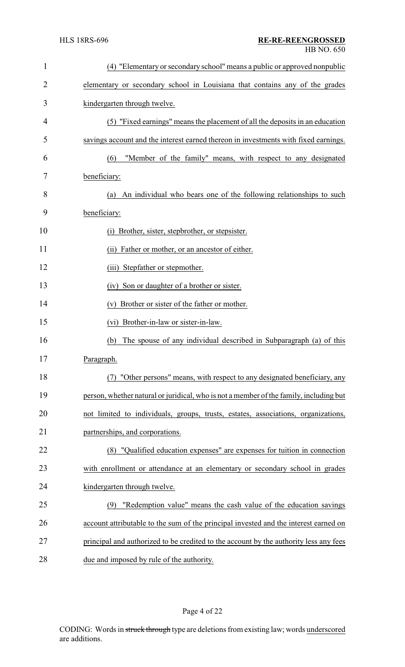| $\mathbf{1}$   | (4) "Elementary or secondary school" means a public or approved nonpublic              |
|----------------|----------------------------------------------------------------------------------------|
| $\overline{2}$ | elementary or secondary school in Louisiana that contains any of the grades            |
| 3              | kindergarten through twelve.                                                           |
| 4              | (5) "Fixed earnings" means the placement of all the deposits in an education           |
| 5              | savings account and the interest earned thereon in investments with fixed earnings.    |
| 6              | "Member of the family" means, with respect to any designated<br>(6)                    |
| 7              | beneficiary:                                                                           |
| 8              | An individual who bears one of the following relationships to such<br>(a)              |
| 9              | beneficiary:                                                                           |
| 10             | Brother, sister, stepbrother, or stepsister.<br>(i)                                    |
| 11             | (ii) Father or mother, or an ancestor of either.                                       |
| 12             | Stepfather or stepmother.<br>(iii)                                                     |
| 13             | Son or daughter of a brother or sister.<br>(iv)                                        |
| 14             | Brother or sister of the father or mother.<br>(v)                                      |
| 15             | (vi) Brother-in-law or sister-in-law.                                                  |
| 16             | The spouse of any individual described in Subparagraph (a) of this<br>(b)              |
| 17             | Paragraph.                                                                             |
| 18             | "Other persons" means, with respect to any designated beneficiary, any<br>(7)          |
| 19             | person, whether natural or juridical, who is not a member of the family, including but |
| 20             | not limited to individuals, groups, trusts, estates, associations, organizations,      |
| 21             | partnerships, and corporations.                                                        |
| 22             | (8) "Qualified education expenses" are expenses for tuition in connection              |
| 23             | with enrollment or attendance at an elementary or secondary school in grades           |
| 24             | kindergarten through twelve.                                                           |
| 25             | "Redemption value" means the cash value of the education savings<br>(9)                |
| 26             | account attributable to the sum of the principal invested and the interest earned on   |
| 27             | principal and authorized to be credited to the account by the authority less any fees  |
| 28             | due and imposed by rule of the authority.                                              |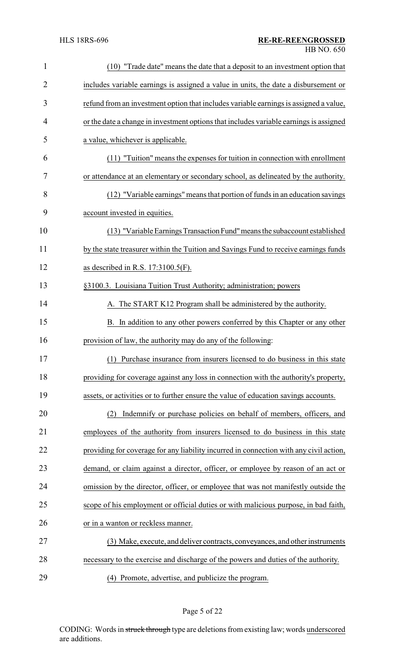| $\mathbf{1}$   | (10) "Trade date" means the date that a deposit to an investment option that           |
|----------------|----------------------------------------------------------------------------------------|
| $\overline{c}$ | includes variable earnings is assigned a value in units, the date a disbursement or    |
| 3              | refund from an investment option that includes variable earnings is assigned a value,  |
| 4              | or the date a change in investment options that includes variable earnings is assigned |
| 5              | a value, whichever is applicable.                                                      |
| 6              | (11) "Tuition" means the expenses for tuition in connection with enrollment            |
| 7              | or attendance at an elementary or secondary school, as delineated by the authority.    |
| 8              | (12) "Variable earnings" means that portion of funds in an education savings           |
| 9              | account invested in equities.                                                          |
| 10             | (13) "Variable Earnings Transaction Fund" means the subaccount established             |
| 11             | by the state treasurer within the Tuition and Savings Fund to receive earnings funds   |
| 12             | as described in R.S. $17:3100.5(F)$ .                                                  |
| 13             | §3100.3. Louisiana Tuition Trust Authority; administration; powers                     |
| 14             | A. The START K12 Program shall be administered by the authority.                       |
| 15             | B. In addition to any other powers conferred by this Chapter or any other              |
| 16             | provision of law, the authority may do any of the following:                           |
| 17             | (1) Purchase insurance from insurers licensed to do business in this state             |
| 18             | providing for coverage against any loss in connection with the authority's property,   |
| 19             | assets, or activities or to further ensure the value of education savings accounts.    |
| 20             | Indemnify or purchase policies on behalf of members, officers, and<br>(2)              |
| 21             | employees of the authority from insurers licensed to do business in this state         |
| 22             | providing for coverage for any liability incurred in connection with any civil action, |
| 23             | demand, or claim against a director, officer, or employee by reason of an act or       |
| 24             | omission by the director, officer, or employee that was not manifestly outside the     |
| 25             | scope of his employment or official duties or with malicious purpose, in bad faith,    |
| 26             | or in a wanton or reckless manner.                                                     |
| 27             | (3) Make, execute, and deliver contracts, conveyances, and other instruments           |
| 28             | necessary to the exercise and discharge of the powers and duties of the authority.     |
| 29             | (4) Promote, advertise, and publicize the program.                                     |

Page 5 of 22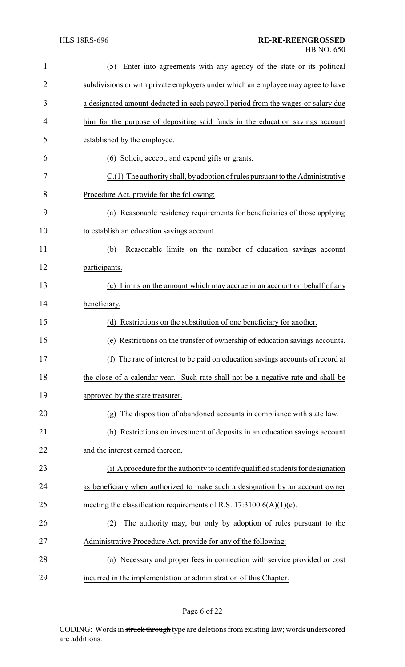| 1              | Enter into agreements with any agency of the state or its political<br>(5)        |
|----------------|-----------------------------------------------------------------------------------|
| $\overline{2}$ | subdivisions or with private employers under which an employee may agree to have  |
| 3              | a designated amount deducted in each payroll period from the wages or salary due  |
| 4              | him for the purpose of depositing said funds in the education savings account     |
| 5              | established by the employee.                                                      |
| 6              | (6) Solicit, accept, and expend gifts or grants.                                  |
| 7              | C.(1) The authority shall, by adoption of rules pursuant to the Administrative    |
| 8              | Procedure Act, provide for the following:                                         |
| 9              | (a) Reasonable residency requirements for beneficiaries of those applying         |
| 10             | to establish an education savings account.                                        |
| 11             | Reasonable limits on the number of education savings account<br>(b)               |
| 12             | participants.                                                                     |
| 13             | (c) Limits on the amount which may accrue in an account on behalf of any          |
| 14             | beneficiary.                                                                      |
| 15             | (d) Restrictions on the substitution of one beneficiary for another.              |
| 16             | (e) Restrictions on the transfer of ownership of education savings accounts.      |
| 17             | The rate of interest to be paid on education savings accounts of record at<br>(f) |
| 18             | the close of a calendar year. Such rate shall not be a negative rate and shall be |
| 19             | approved by the state treasurer.                                                  |
| 20             | (g) The disposition of abandoned accounts in compliance with state law.           |
| 21             | (h) Restrictions on investment of deposits in an education savings account        |
| 22             | and the interest earned thereon.                                                  |
| 23             | (i) A procedure for the authority to identify qualified students for designation  |
| 24             | as beneficiary when authorized to make such a designation by an account owner     |
| 25             | meeting the classification requirements of R.S. $17:3100.6(A)(1)(e)$ .            |
| 26             | The authority may, but only by adoption of rules pursuant to the<br>(2)           |
| 27             | Administrative Procedure Act, provide for any of the following:                   |
| 28             | (a) Necessary and proper fees in connection with service provided or cost         |
| 29             | incurred in the implementation or administration of this Chapter.                 |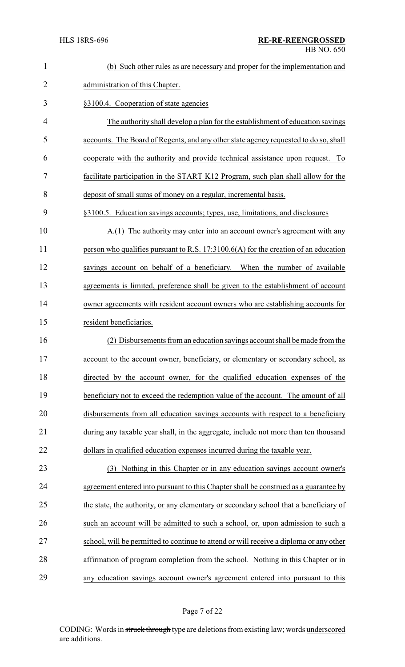| $\mathbf{1}$   | (b) Such other rules as are necessary and proper for the implementation and            |
|----------------|----------------------------------------------------------------------------------------|
| $\overline{2}$ | administration of this Chapter.                                                        |
| 3              | §3100.4. Cooperation of state agencies                                                 |
| $\overline{4}$ | The authority shall develop a plan for the establishment of education savings          |
| 5              | accounts. The Board of Regents, and any other state agency requested to do so, shall   |
| 6              | cooperate with the authority and provide technical assistance upon request. To         |
| 7              | facilitate participation in the START K12 Program, such plan shall allow for the       |
| 8              | deposit of small sums of money on a regular, incremental basis.                        |
| 9              | §3100.5. Education savings accounts; types, use, limitations, and disclosures          |
| 10             | A.(1) The authority may enter into an account owner's agreement with any               |
| 11             | person who qualifies pursuant to R.S. $17:3100.6(A)$ for the creation of an education  |
| 12             | savings account on behalf of a beneficiary. When the number of available               |
| 13             | agreements is limited, preference shall be given to the establishment of account       |
| 14             | owner agreements with resident account owners who are establishing accounts for        |
| 15             | resident beneficiaries.                                                                |
| 16             | (2) Disbursements from an education savings account shall be made from the             |
| 17             | account to the account owner, beneficiary, or elementary or secondary school, as       |
| 18             | directed by the account owner, for the qualified education expenses of the             |
| 19             | beneficiary not to exceed the redemption value of the account. The amount of all       |
| 20             | disbursements from all education savings accounts with respect to a beneficiary        |
| 21             | during any taxable year shall, in the aggregate, include not more than ten thousand    |
| 22             | dollars in qualified education expenses incurred during the taxable year.              |
| 23             | (3) Nothing in this Chapter or in any education savings account owner's                |
| 24             | agreement entered into pursuant to this Chapter shall be construed as a guarantee by   |
| 25             | the state, the authority, or any elementary or secondary school that a beneficiary of  |
| 26             | such an account will be admitted to such a school, or, upon admission to such a        |
| 27             | school, will be permitted to continue to attend or will receive a diploma or any other |
| 28             | affirmation of program completion from the school. Nothing in this Chapter or in       |
| 29             | any education savings account owner's agreement entered into pursuant to this          |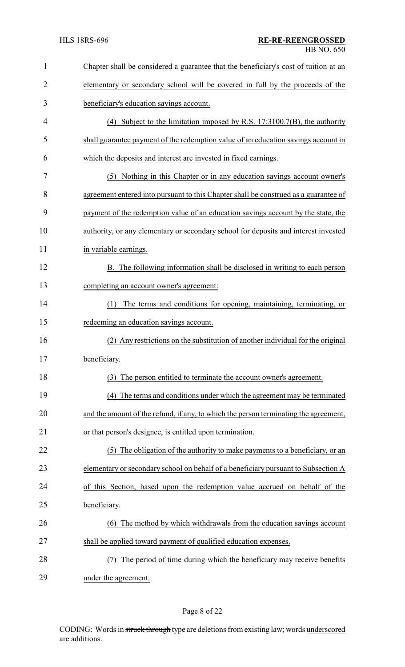| 1              | Chapter shall be considered a guarantee that the beneficiary's cost of tuition at an |
|----------------|--------------------------------------------------------------------------------------|
| $\overline{2}$ | elementary or secondary school will be covered in full by the proceeds of the        |
| 3              | beneficiary's education savings account.                                             |
| 4              | (4) Subject to the limitation imposed by R.S. $17:3100.7(B)$ , the authority         |
| 5              | shall guarantee payment of the redemption value of an education savings account in   |
| 6              | which the deposits and interest are invested in fixed earnings.                      |
| 7              | (5) Nothing in this Chapter or in any education savings account owner's              |
| 8              | agreement entered into pursuant to this Chapter shall be construed as a guarantee of |
| 9              | payment of the redemption value of an education savings account by the state, the    |
| 10             | authority, or any elementary or secondary school for deposits and interest invested  |
| 11             | in variable earnings.                                                                |
| 12             | B. The following information shall be disclosed in writing to each person            |
| 13             | completing an account owner's agreement:                                             |
| 14             | The terms and conditions for opening, maintaining, terminating, or<br>(1)            |
| 15             | redeeming an education savings account.                                              |
| 16             | (2) Any restrictions on the substitution of another individual for the original      |
| 17             | beneficiary.                                                                         |
| 18             | (3) The person entitled to terminate the account owner's agreement.                  |
| 19             | (4) The terms and conditions under which the agreement may be terminated             |
| 20             | and the amount of the refund, if any, to which the person terminating the agreement, |
| 21             | or that person's designee, is entitled upon termination.                             |
| 22             | (5) The obligation of the authority to make payments to a beneficiary, or an         |
| 23             | elementary or secondary school on behalf of a beneficiary pursuant to Subsection A   |
| 24             | of this Section, based upon the redemption value accrued on behalf of the            |
| 25             | beneficiary.                                                                         |
| 26             | (6) The method by which withdrawals from the education savings account               |
| 27             | shall be applied toward payment of qualified education expenses.                     |
| 28             | The period of time during which the beneficiary may receive benefits                 |
| 29             | under the agreement.                                                                 |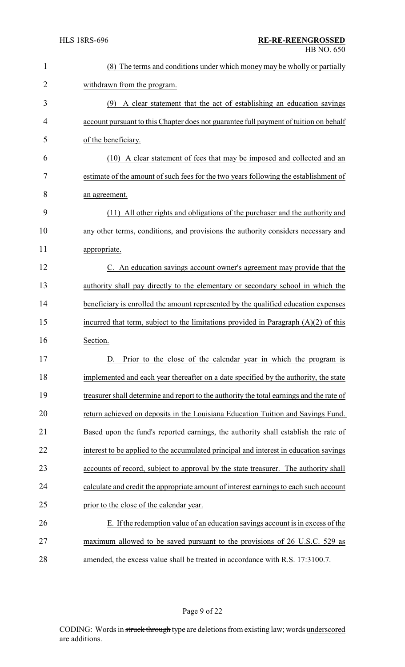| 1              | (8) The terms and conditions under which money may be wholly or partially                |
|----------------|------------------------------------------------------------------------------------------|
| $\overline{2}$ | withdrawn from the program.                                                              |
| 3              | (9) A clear statement that the act of establishing an education savings                  |
| 4              | account pursuant to this Chapter does not guarantee full payment of tuition on behalf    |
| 5              | of the beneficiary.                                                                      |
| 6              | (10) A clear statement of fees that may be imposed and collected and an                  |
| 7              | estimate of the amount of such fees for the two years following the establishment of     |
| 8              | an agreement.                                                                            |
| 9              | (11) All other rights and obligations of the purchaser and the authority and             |
| 10             | any other terms, conditions, and provisions the authority considers necessary and        |
| 11             | appropriate.                                                                             |
| 12             | C. An education savings account owner's agreement may provide that the                   |
| 13             | authority shall pay directly to the elementary or secondary school in which the          |
| 14             | beneficiary is enrolled the amount represented by the qualified education expenses       |
| 15             | incurred that term, subject to the limitations provided in Paragraph $(A)(2)$ of this    |
| 16             | Section.                                                                                 |
| 17             | Prior to the close of the calendar year in which the program is<br>D.                    |
| 18             | implemented and each year thereafter on a date specified by the authority, the state     |
| 19             | treasurer shall determine and report to the authority the total earnings and the rate of |
| 20             | return achieved on deposits in the Louisiana Education Tuition and Savings Fund.         |
| 21             | Based upon the fund's reported earnings, the authority shall establish the rate of       |
| 22             | interest to be applied to the accumulated principal and interest in education savings    |
| 23             | accounts of record, subject to approval by the state treasurer. The authority shall      |
| 24             | calculate and credit the appropriate amount of interest earnings to each such account    |
| 25             | prior to the close of the calendar year.                                                 |
| 26             | E. If the redemption value of an education savings account is in excess of the           |
| 27             | maximum allowed to be saved pursuant to the provisions of 26 U.S.C. 529 as               |
| 28             | amended, the excess value shall be treated in accordance with R.S. 17:3100.7.            |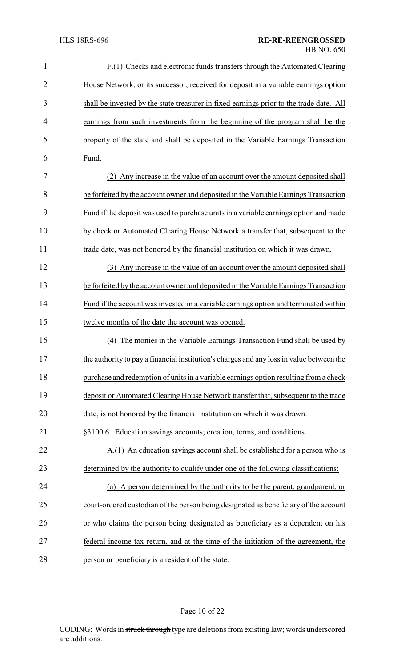| $\mathbf{1}$   | F.(1) Checks and electronic funds transfers through the Automated Clearing               |
|----------------|------------------------------------------------------------------------------------------|
| $\overline{2}$ | House Network, or its successor, received for deposit in a variable earnings option      |
| 3              | shall be invested by the state treasurer in fixed earnings prior to the trade date. All  |
| 4              | earnings from such investments from the beginning of the program shall be the            |
| 5              | property of the state and shall be deposited in the Variable Earnings Transaction        |
| 6              | Fund.                                                                                    |
| 7              | (2) Any increase in the value of an account over the amount deposited shall              |
| 8              | be forfeited by the account owner and deposited in the Variable Earnings Transaction     |
| 9              | Fund if the deposit was used to purchase units in a variable earnings option and made    |
| 10             | by check or Automated Clearing House Network a transfer that, subsequent to the          |
| 11             | trade date, was not honored by the financial institution on which it was drawn.          |
| 12             | (3) Any increase in the value of an account over the amount deposited shall              |
| 13             | be forfeited by the account owner and deposited in the Variable Earnings Transaction     |
| 14             | Fund if the account was invested in a variable earnings option and terminated within     |
| 15             | twelve months of the date the account was opened.                                        |
| 16             | The monies in the Variable Earnings Transaction Fund shall be used by<br>(4)             |
| 17             | the authority to pay a financial institution's charges and any loss in value between the |
| 18             | purchase and redemption of units in a variable earnings option resulting from a check    |
| 19             | deposit or Automated Clearing House Network transfer that, subsequent to the trade       |
| 20             | date, is not honored by the financial institution on which it was drawn.                 |
| 21             | §3100.6. Education savings accounts; creation, terms, and conditions                     |
| 22             | A.(1) An education savings account shall be established for a person who is              |
| 23             | determined by the authority to qualify under one of the following classifications:       |
| 24             | (a) A person determined by the authority to be the parent, grandparent, or               |
| 25             | court-ordered custodian of the person being designated as beneficiary of the account     |
| 26             | or who claims the person being designated as beneficiary as a dependent on his           |
| 27             | federal income tax return, and at the time of the initiation of the agreement, the       |
| 28             | person or beneficiary is a resident of the state.                                        |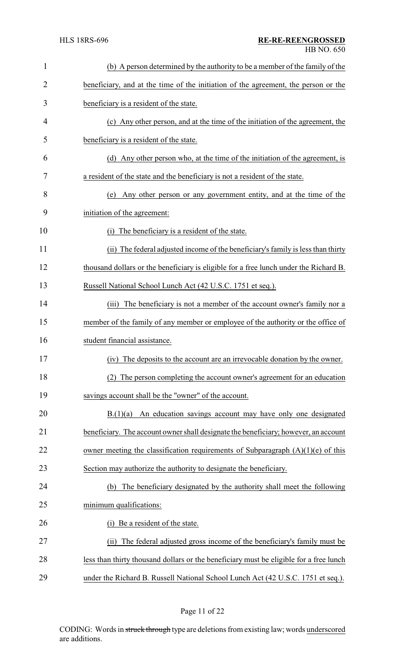| 1              | (b) A person determined by the authority to be a member of the family of the           |
|----------------|----------------------------------------------------------------------------------------|
| $\overline{2}$ | beneficiary, and at the time of the initiation of the agreement, the person or the     |
| 3              | beneficiary is a resident of the state.                                                |
| 4              | (c) Any other person, and at the time of the initiation of the agreement, the          |
| 5              | beneficiary is a resident of the state.                                                |
| 6              | (d) Any other person who, at the time of the initiation of the agreement, is           |
| 7              | a resident of the state and the beneficiary is not a resident of the state.            |
| 8              | Any other person or any government entity, and at the time of the<br>(e)               |
| 9              | initiation of the agreement:                                                           |
| 10             | The beneficiary is a resident of the state.<br>(1)                                     |
| 11             | (ii) The federal adjusted income of the beneficiary's family is less than thirty       |
| 12             | thousand dollars or the beneficiary is eligible for a free lunch under the Richard B.  |
| 13             | Russell National School Lunch Act (42 U.S.C. 1751 et seq.).                            |
| 14             | (iii) The beneficiary is not a member of the account owner's family nor a              |
| 15             | member of the family of any member or employee of the authority or the office of       |
| 16             | student financial assistance.                                                          |
| 17             | (iv) The deposits to the account are an irrevocable donation by the owner.             |
| 18             | (2) The person completing the account owner's agreement for an education               |
| 19             | savings account shall be the "owner" of the account.                                   |
| 20             | An education savings account may have only one designated<br>B(1)(a)                   |
| 21             | beneficiary. The account owner shall designate the beneficiary; however, an account    |
| 22             | owner meeting the classification requirements of Subparagraph $(A)(1)(e)$ of this      |
| 23             | Section may authorize the authority to designate the beneficiary.                      |
| 24             | The beneficiary designated by the authority shall meet the following<br>(b)            |
| 25             | minimum qualifications:                                                                |
| 26             | Be a resident of the state.<br>(i)                                                     |
| 27             | The federal adjusted gross income of the beneficiary's family must be<br>(ii)          |
| 28             | less than thirty thousand dollars or the beneficiary must be eligible for a free lunch |
| 29             | under the Richard B. Russell National School Lunch Act (42 U.S.C. 1751 et seq.).       |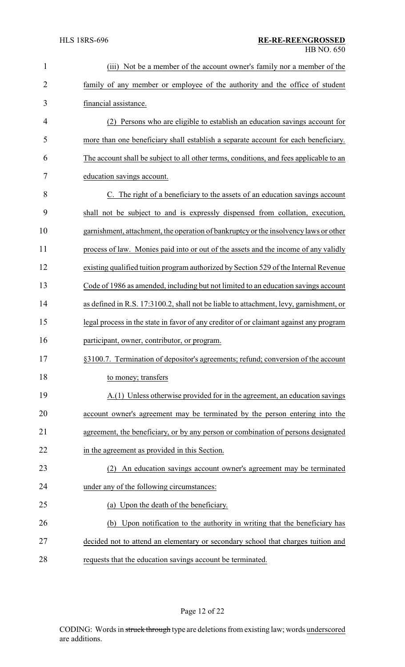| $\mathbf{1}$   | Not be a member of the account owner's family nor a member of the<br>(iii)             |
|----------------|----------------------------------------------------------------------------------------|
| $\overline{2}$ | family of any member or employee of the authority and the office of student            |
| 3              | financial assistance.                                                                  |
| 4              | Persons who are eligible to establish an education savings account for                 |
| 5              | more than one beneficiary shall establish a separate account for each beneficiary.     |
| 6              | The account shall be subject to all other terms, conditions, and fees applicable to an |
| 7              | education savings account.                                                             |
| 8              | C. The right of a beneficiary to the assets of an education savings account            |
| 9              | shall not be subject to and is expressly dispensed from collation, execution,          |
| 10             | garnishment, attachment, the operation of bankruptcy or the insolvency laws or other   |
| 11             | process of law. Monies paid into or out of the assets and the income of any validly    |
| 12             | existing qualified tuition program authorized by Section 529 of the Internal Revenue   |
| 13             | Code of 1986 as amended, including but not limited to an education savings account     |
| 14             | as defined in R.S. 17:3100.2, shall not be liable to attachment, levy, garnishment, or |
| 15             | legal process in the state in favor of any creditor of or claimant against any program |
| 16             | participant, owner, contributor, or program.                                           |
| 17             | §3100.7. Termination of depositor's agreements; refund; conversion of the account      |
| 18             | to money; transfers                                                                    |
| 19             | A.(1) Unless otherwise provided for in the agreement, an education savings             |
| 20             | account owner's agreement may be terminated by the person entering into the            |
| 21             | agreement, the beneficiary, or by any person or combination of persons designated      |
| 22             | in the agreement as provided in this Section.                                          |
| 23             | An education savings account owner's agreement may be terminated                       |
| 24             | under any of the following circumstances:                                              |
| 25             | (a) Upon the death of the beneficiary.                                                 |
| 26             | (b) Upon notification to the authority in writing that the beneficiary has             |
| 27             | decided not to attend an elementary or secondary school that charges tuition and       |
| 28             | requests that the education savings account be terminated.                             |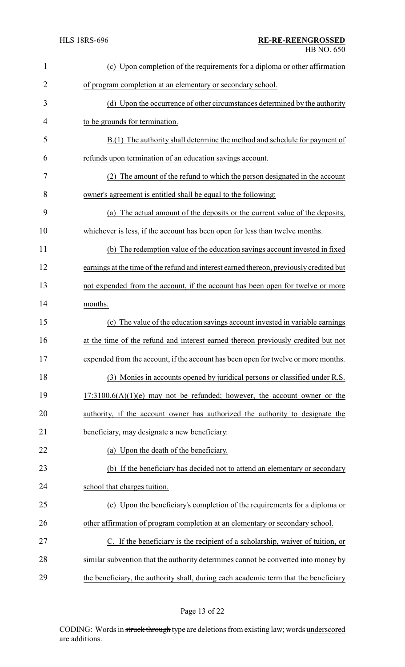| $\mathbf{1}$   | (c) Upon completion of the requirements for a diploma or other affirmation              |
|----------------|-----------------------------------------------------------------------------------------|
| $\overline{2}$ | of program completion at an elementary or secondary school.                             |
| 3              | (d) Upon the occurrence of other circumstances determined by the authority              |
| 4              | to be grounds for termination.                                                          |
| 5              | B.(1) The authority shall determine the method and schedule for payment of              |
| 6              | refunds upon termination of an education savings account.                               |
| 7              | (2) The amount of the refund to which the person designated in the account              |
| 8              | owner's agreement is entitled shall be equal to the following:                          |
| 9              | (a) The actual amount of the deposits or the current value of the deposits,             |
| 10             | whichever is less, if the account has been open for less than twelve months.            |
| 11             | (b) The redemption value of the education savings account invested in fixed             |
| 12             | earnings at the time of the refund and interest earned thereon, previously credited but |
| 13             | not expended from the account, if the account has been open for twelve or more          |
| 14             | months.                                                                                 |
| 15             | (c) The value of the education savings account invested in variable earnings            |
| 16             | at the time of the refund and interest earned thereon previously credited but not       |
| 17             | expended from the account, if the account has been open for twelve or more months       |
| 18             | (3) Monies in accounts opened by juridical persons or classified under R.S.             |
| 19             | $17:3100.6(A)(1)(e)$ may not be refunded; however, the account owner or the             |
| 20             | authority, if the account owner has authorized the authority to designate the           |
| 21             | beneficiary, may designate a new beneficiary:                                           |
| 22             | (a) Upon the death of the beneficiary.                                                  |
| 23             | (b) If the beneficiary has decided not to attend an elementary or secondary             |
| 24             | school that charges tuition.                                                            |
| 25             | (c) Upon the beneficiary's completion of the requirements for a diploma or              |
| 26             | other affirmation of program completion at an elementary or secondary school.           |
| 27             | C. If the beneficiary is the recipient of a scholarship, waiver of tuition, or          |
| 28             | similar subvention that the authority determines cannot be converted into money by      |
| 29             | the beneficiary, the authority shall, during each academic term that the beneficiary    |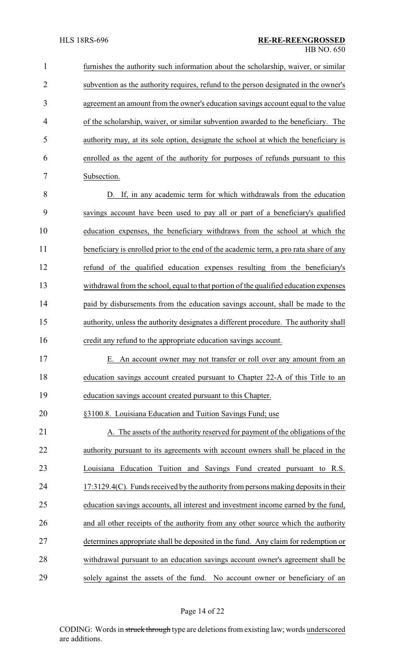furnishes the authority such information about the scholarship, waiver, or similar subvention as the authority requires, refund to the person designated in the owner's agreement an amount from the owner's education savings account equal to the value of the scholarship, waiver, or similar subvention awarded to the beneficiary. The authority may, at its sole option, designate the school at which the beneficiary is enrolled as the agent of the authority for purposes of refunds pursuant to this Subsection. D. If, in any academic term for which withdrawals from the education savings account have been used to pay all or part of a beneficiary's qualified education expenses, the beneficiary withdraws from the school at which the

11 beneficiary is enrolled prior to the end of the academic term, a pro rata share of any refund of the qualified education expenses resulting from the beneficiary's withdrawal from the school, equal to that portion of the qualified education expenses 14 paid by disbursements from the education savings account, shall be made to the authority, unless the authority designates a different procedure. The authority shall credit any refund to the appropriate education savings account.

 E. An account owner may not transfer or roll over any amount from an education savings account created pursuant to Chapter 22-A of this Title to an education savings account created pursuant to this Chapter.

§3100.8. Louisiana Education and Tuition Savings Fund; use

21 A. The assets of the authority reserved for payment of the obligations of the authority pursuant to its agreements with account owners shall be placed in the Louisiana Education Tuition and Savings Fund created pursuant to R.S. 17:3129.4(C). Funds received bythe authorityfrom persons making deposits in their education savings accounts, all interest and investment income earned by the fund, and all other receipts of the authority from any other source which the authority determines appropriate shall be deposited in the fund. Any claim for redemption or withdrawal pursuant to an education savings account owner's agreement shall be solely against the assets of the fund. No account owner or beneficiary of an

Page 14 of 22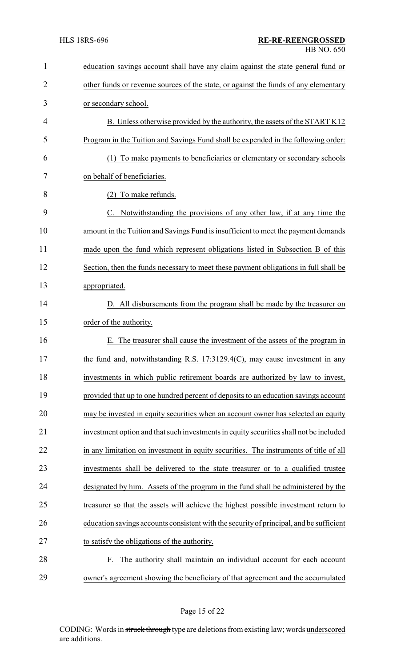| 1              | education savings account shall have any claim against the state general fund or        |
|----------------|-----------------------------------------------------------------------------------------|
| $\overline{2}$ | other funds or revenue sources of the state, or against the funds of any elementary     |
| 3              | or secondary school.                                                                    |
| 4              | B. Unless otherwise provided by the authority, the assets of the START K12              |
| 5              | Program in the Tuition and Savings Fund shall be expended in the following order:       |
| 6              | (1) To make payments to beneficiaries or elementary or secondary schools                |
| 7              | on behalf of beneficiaries.                                                             |
| 8              | (2) To make refunds.                                                                    |
| 9              | C. Notwithstanding the provisions of any other law, if at any time the                  |
| 10             | amount in the Tuition and Savings Fund is insufficient to meet the payment demands      |
| 11             | made upon the fund which represent obligations listed in Subsection B of this           |
| 12             | Section, then the funds necessary to meet these payment obligations in full shall be    |
| 13             | appropriated.                                                                           |
| 14             | D. All disbursements from the program shall be made by the treasurer on                 |
| 15             | order of the authority.                                                                 |
| 16             | The treasurer shall cause the investment of the assets of the program in<br>Е.          |
| 17             | the fund and, notwithstanding R.S. 17:3129.4(C), may cause investment in any            |
| 18             | investments in which public retirement boards are authorized by law to invest,          |
| 19             | provided that up to one hundred percent of deposits to an education savings account     |
| 20             | may be invested in equity securities when an account owner has selected an equity       |
| 21             | investment option and that such investments in equity securities shall not be included  |
| 22             | in any limitation on investment in equity securities. The instruments of title of all   |
| 23             | investments shall be delivered to the state treasurer or to a qualified trustee         |
| 24             | designated by him. Assets of the program in the fund shall be administered by the       |
| 25             | treasurer so that the assets will achieve the highest possible investment return to     |
| 26             | education savings accounts consistent with the security of principal, and be sufficient |
| 27             | to satisfy the obligations of the authority.                                            |
| 28             | F. The authority shall maintain an individual account for each account                  |
| 29             | owner's agreement showing the beneficiary of that agreement and the accumulated         |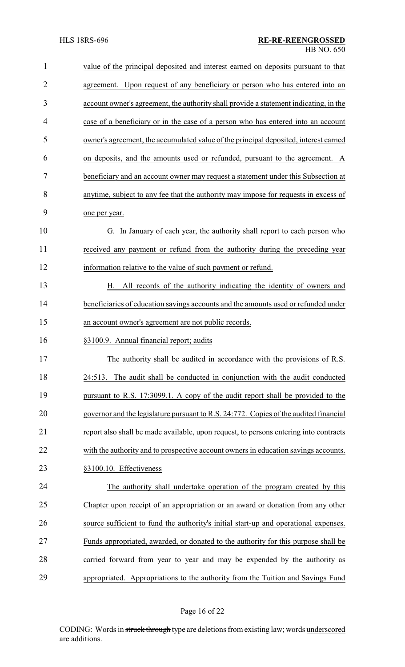| $\mathbf{1}$   | value of the principal deposited and interest earned on deposits pursuant to that     |
|----------------|---------------------------------------------------------------------------------------|
| $\overline{2}$ | agreement. Upon request of any beneficiary or person who has entered into an          |
| 3              | account owner's agreement, the authority shall provide a statement indicating, in the |
| 4              | case of a beneficiary or in the case of a person who has entered into an account      |
| 5              | owner's agreement, the accumulated value of the principal deposited, interest earned  |
| 6              | on deposits, and the amounts used or refunded, pursuant to the agreement. A           |
| 7              | beneficiary and an account owner may request a statement under this Subsection at     |
| 8              | anytime, subject to any fee that the authority may impose for requests in excess of   |
| 9              | one per year.                                                                         |
| 10             | G. In January of each year, the authority shall report to each person who             |
| 11             | received any payment or refund from the authority during the preceding year           |
| 12             | information relative to the value of such payment or refund.                          |
| 13             | H. All records of the authority indicating the identity of owners and                 |
| 14             | beneficiaries of education savings accounts and the amounts used or refunded under    |
| 15             | an account owner's agreement are not public records.                                  |
| 16             | §3100.9. Annual financial report; audits                                              |
| 17             | The authority shall be audited in accordance with the provisions of R.S.              |
| 18             | 24:513. The audit shall be conducted in conjunction with the audit conducted          |
| 19             | pursuant to R.S. 17:3099.1. A copy of the audit report shall be provided to the       |
| 20             | governor and the legislature pursuant to R.S. 24:772. Copies of the audited financial |
| 21             | report also shall be made available, upon request, to persons entering into contracts |
| 22             | with the authority and to prospective account owners in education savings accounts.   |
| 23             | §3100.10. Effectiveness                                                               |
| 24             | The authority shall undertake operation of the program created by this                |
| 25             | Chapter upon receipt of an appropriation or an award or donation from any other       |
| 26             | source sufficient to fund the authority's initial start-up and operational expenses.  |
| 27             | Funds appropriated, awarded, or donated to the authority for this purpose shall be    |
| 28             | carried forward from year to year and may be expended by the authority as             |
| 29             | appropriated. Appropriations to the authority from the Tuition and Savings Fund       |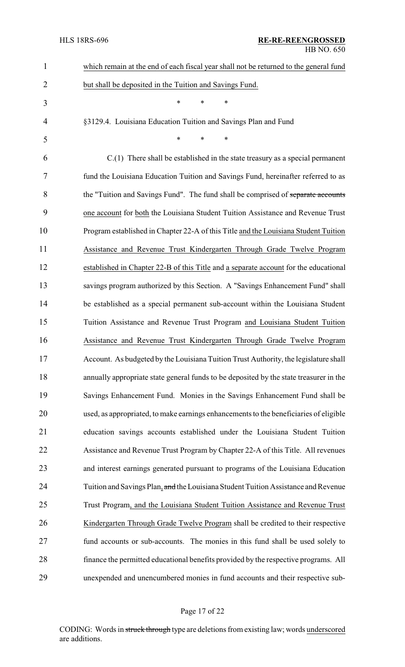| $\mathbf{1}$   | which remain at the end of each fiscal year shall not be returned to the general fund  |
|----------------|----------------------------------------------------------------------------------------|
| $\overline{2}$ | but shall be deposited in the Tuition and Savings Fund.                                |
| 3              | *<br>$\ast$<br>*                                                                       |
| $\overline{4}$ | §3129.4. Louisiana Education Tuition and Savings Plan and Fund                         |
| 5              | *<br>$\ast$<br>$\ast$                                                                  |
| 6              | $C(1)$ There shall be established in the state treasury as a special permanent         |
| 7              | fund the Louisiana Education Tuition and Savings Fund, hereinafter referred to as      |
| 8              | the "Tuition and Savings Fund". The fund shall be comprised of separate accounts       |
| 9              | one account for both the Louisiana Student Tuition Assistance and Revenue Trust        |
| 10             | Program established in Chapter 22-A of this Title and the Louisiana Student Tuition    |
| 11             | Assistance and Revenue Trust Kindergarten Through Grade Twelve Program                 |
| 12             | established in Chapter 22-B of this Title and a separate account for the educational   |
| 13             | savings program authorized by this Section. A "Savings Enhancement Fund" shall         |
| 14             | be established as a special permanent sub-account within the Louisiana Student         |
| 15             | Tuition Assistance and Revenue Trust Program and Louisiana Student Tuition             |
| 16             | Assistance and Revenue Trust Kindergarten Through Grade Twelve Program                 |
| 17             | Account. As budgeted by the Louisiana Tuition Trust Authority, the legislature shall   |
| 18             | annually appropriate state general funds to be deposited by the state treasurer in the |
| 19             | Savings Enhancement Fund. Monies in the Savings Enhancement Fund shall be              |
| 20             | used, as appropriated, to make earnings enhancements to the beneficiaries of eligible  |
| 21             | education savings accounts established under the Louisiana Student Tuition             |
| 22             | Assistance and Revenue Trust Program by Chapter 22-A of this Title. All revenues       |
| 23             | and interest earnings generated pursuant to programs of the Louisiana Education        |
| 24             | Tuition and Savings Plan, and the Louisiana Student Tuition Assistance and Revenue     |
| 25             | Trust Program, and the Louisiana Student Tuition Assistance and Revenue Trust          |
| 26             | Kindergarten Through Grade Twelve Program shall be credited to their respective        |
| 27             | fund accounts or sub-accounts. The monies in this fund shall be used solely to         |
| 28             | finance the permitted educational benefits provided by the respective programs. All    |
| 29             | unexpended and unencumbered monies in fund accounts and their respective sub-          |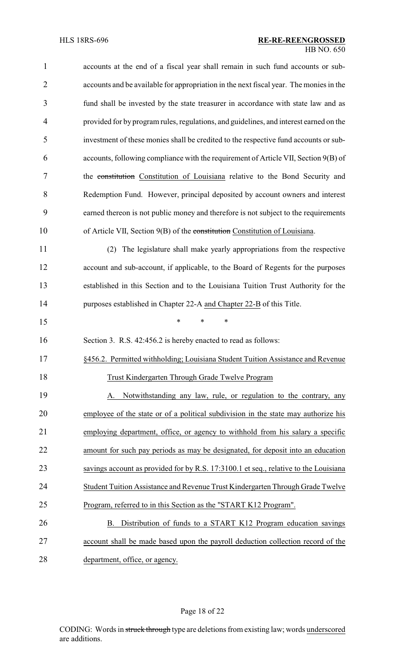| $\mathbf{1}$   | accounts at the end of a fiscal year shall remain in such fund accounts or sub-        |
|----------------|----------------------------------------------------------------------------------------|
| $\overline{2}$ | accounts and be available for appropriation in the next fiscal year. The monies in the |
| 3              | fund shall be invested by the state treasurer in accordance with state law and as      |
| $\overline{4}$ | provided for by program rules, regulations, and guidelines, and interest earned on the |
| 5              | investment of these monies shall be credited to the respective fund accounts or sub-   |
| 6              | accounts, following compliance with the requirement of Article VII, Section 9(B) of    |
| 7              | the constitution Constitution of Louisiana relative to the Bond Security and           |
| 8              | Redemption Fund. However, principal deposited by account owners and interest           |
| 9              | earned thereon is not public money and therefore is not subject to the requirements    |
| 10             | of Article VII, Section 9(B) of the constitution Constitution of Louisiana.            |
| 11             | The legislature shall make yearly appropriations from the respective<br>(2)            |
| 12             | account and sub-account, if applicable, to the Board of Regents for the purposes       |
| 13             | established in this Section and to the Louisiana Tuition Trust Authority for the       |
| 14             | purposes established in Chapter 22-A and Chapter 22-B of this Title.                   |
| 15             | $\ast$<br>$\ast$<br>*                                                                  |
| 16             | Section 3. R.S. 42:456.2 is hereby enacted to read as follows:                         |
| 17             | §456.2. Permitted withholding; Louisiana Student Tuition Assistance and Revenue        |
| 18             | Trust Kindergarten Through Grade Twelve Program                                        |
| 19             | Notwithstanding any law, rule, or regulation to the contrary, any<br>А.                |
| 20             | employee of the state or of a political subdivision in the state may authorize his     |
| 21             | employing department, office, or agency to withhold from his salary a specific         |
| 22             | amount for such pay periods as may be designated, for deposit into an education        |
| 23             | savings account as provided for by R.S. 17:3100.1 et seq., relative to the Louisiana   |
| 24             | Student Tuition Assistance and Revenue Trust Kindergarten Through Grade Twelve         |
| 25             | Program, referred to in this Section as the "START K12 Program".                       |
| 26             | Distribution of funds to a START K12 Program education savings<br>B.                   |
| 27             | account shall be made based upon the payroll deduction collection record of the        |
| 28             | department, office, or agency.                                                         |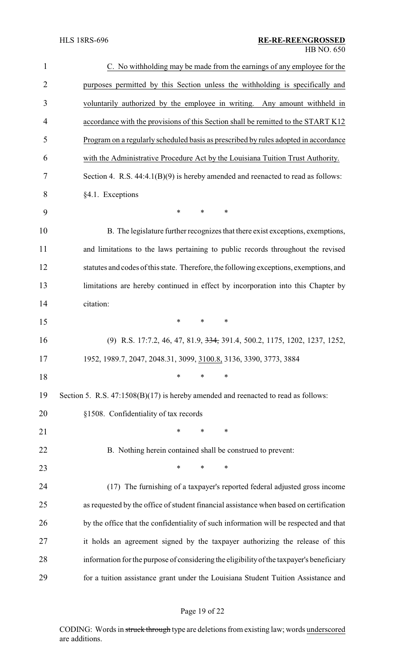| $\mathbf{1}$   | C. No withholding may be made from the earnings of any employee for the                  |
|----------------|------------------------------------------------------------------------------------------|
| $\overline{2}$ | purposes permitted by this Section unless the withholding is specifically and            |
| 3              | voluntarily authorized by the employee in writing. Any amount withheld in                |
| 4              | accordance with the provisions of this Section shall be remitted to the START K12        |
| 5              | Program on a regularly scheduled basis as prescribed by rules adopted in accordance      |
| 6              | with the Administrative Procedure Act by the Louisiana Tuition Trust Authority.          |
| 7              | Section 4. R.S. $44:4.1(B)(9)$ is hereby amended and reenacted to read as follows:       |
| 8              | §4.1. Exceptions                                                                         |
| 9              | *<br>$\ast$<br>$\ast$                                                                    |
| 10             | B. The legislature further recognizes that there exist exceptions, exemptions,           |
| 11             | and limitations to the laws pertaining to public records throughout the revised          |
| 12             | statutes and codes of this state. Therefore, the following exceptions, exemptions, and   |
| 13             | limitations are hereby continued in effect by incorporation into this Chapter by         |
| 14             | citation:                                                                                |
| 15             | $\ast$<br>$\ast$<br>∗                                                                    |
| 16             | (9) R.S. 17:7.2, 46, 47, 81.9, <del>334,</del> 391.4, 500.2, 1175, 1202, 1237, 1252,     |
| 17             | 1952, 1989.7, 2047, 2048.31, 3099, 3100.8, 3136, 3390, 3773, 3884                        |
| 18             | $\ast$<br>$\ast$<br>$\ast$                                                               |
| 19             | Section 5. R.S. $47:1508(B)(17)$ is hereby amended and reenacted to read as follows:     |
| 20             | §1508. Confidentiality of tax records                                                    |
| 21             | $\ast$<br>$\ast$<br>$\ast$                                                               |
| 22             | B. Nothing herein contained shall be construed to prevent:                               |
| 23             | $\ast$<br>$\ast$<br>∗                                                                    |
| 24             | (17) The furnishing of a taxpayer's reported federal adjusted gross income               |
| 25             | as requested by the office of student financial assistance when based on certification   |
| 26             | by the office that the confidentiality of such information will be respected and that    |
| 27             | it holds an agreement signed by the taxpayer authorizing the release of this             |
| 28             | information for the purpose of considering the eligibility of the taxpayer's beneficiary |
| 29             | for a tuition assistance grant under the Louisiana Student Tuition Assistance and        |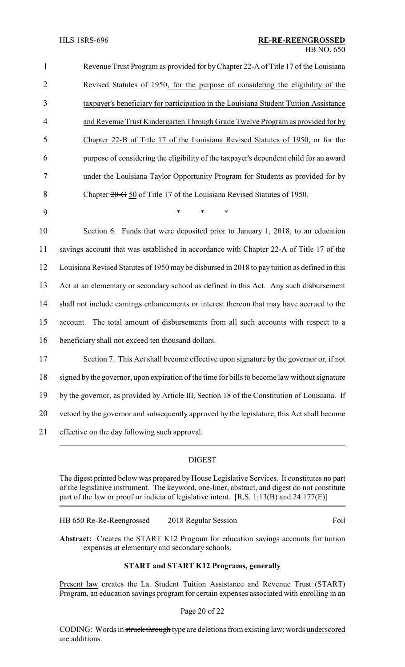| $\mathbf{1}$   | Revenue Trust Program as provided for by Chapter 22-A of Title 17 of the Louisiana            |
|----------------|-----------------------------------------------------------------------------------------------|
| $\overline{2}$ | Revised Statutes of 1950, for the purpose of considering the eligibility of the               |
| 3              | taxpayer's beneficiary for participation in the Louisiana Student Tuition Assistance          |
| $\overline{4}$ | and Revenue Trust Kindergarten Through Grade Twelve Program as provided for by                |
| 5              | Chapter 22-B of Title 17 of the Louisiana Revised Statutes of 1950, or for the                |
| 6              | purpose of considering the eligibility of the taxpayer's dependent child for an award         |
| 7              | under the Louisiana Taylor Opportunity Program for Students as provided for by                |
| 8              | Chapter 20-G 50 of Title 17 of the Louisiana Revised Statutes of 1950.                        |
| 9              | $\ast$<br>*<br>*                                                                              |
| 10             | Section 6. Funds that were deposited prior to January 1, 2018, to an education                |
| 11             | savings account that was established in accordance with Chapter 22-A of Title 17 of the       |
| 12             | Louisiana Revised Statutes of 1950 may be disbursed in 2018 to pay tuition as defined in this |
| 13             | Act at an elementary or secondary school as defined in this Act. Any such disbursement        |
| 14             | shall not include earnings enhancements or interest thereon that may have accrued to the      |
| 15             | The total amount of disbursements from all such accounts with respect to a<br>account.        |
| 16             | beneficiary shall not exceed ten thousand dollars.                                            |
| 17             | Section 7. This Act shall become effective upon signature by the governor or, if not          |
| 18             | signed by the governor, upon expiration of the time for bills to become law without signature |
| 19             | by the governor, as provided by Article III, Section 18 of the Constitution of Louisiana. If  |
| 20             | vetoed by the governor and subsequently approved by the legislature, this Act shall become    |
| 21             | effective on the day following such approval.                                                 |
|                |                                                                                               |

## DIGEST

The digest printed below was prepared by House Legislative Services. It constitutes no part of the legislative instrument. The keyword, one-liner, abstract, and digest do not constitute part of the law or proof or indicia of legislative intent. [R.S. 1:13(B) and 24:177(E)]

HB 650 Re-Re-Reengrossed 2018 Regular Session Foil

**Abstract:** Creates the START K12 Program for education savings accounts for tuition expenses at elementary and secondary schools.

# **START and START K12 Programs, generally**

Present law creates the La. Student Tuition Assistance and Revenue Trust (START) Program, an education savings program for certain expenses associated with enrolling in an

#### Page 20 of 22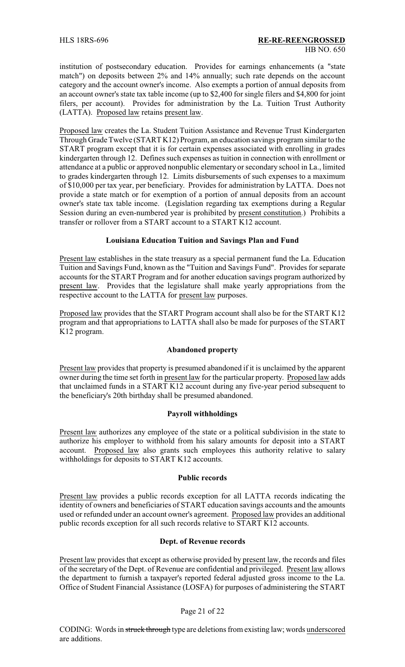institution of postsecondary education. Provides for earnings enhancements (a "state match") on deposits between 2% and 14% annually; such rate depends on the account category and the account owner's income. Also exempts a portion of annual deposits from an account owner's state tax table income (up to \$2,400 for single filers and \$4,800 for joint filers, per account). Provides for administration by the La. Tuition Trust Authority (LATTA). Proposed law retains present law.

Proposed law creates the La. Student Tuition Assistance and Revenue Trust Kindergarten Through Grade Twelve (START K12) Program, an education savings program similar to the START program except that it is for certain expenses associated with enrolling in grades kindergarten through 12. Defines such expenses as tuition in connection with enrollment or attendance at a public or approved nonpublic elementary or secondary school in La., limited to grades kindergarten through 12. Limits disbursements of such expenses to a maximum of \$10,000 per tax year, per beneficiary. Provides for administration by LATTA. Does not provide a state match or for exemption of a portion of annual deposits from an account owner's state tax table income. (Legislation regarding tax exemptions during a Regular Session during an even-numbered year is prohibited by present constitution.) Prohibits a transfer or rollover from a START account to a START K12 account.

### **Louisiana Education Tuition and Savings Plan and Fund**

Present law establishes in the state treasury as a special permanent fund the La. Education Tuition and Savings Fund, known as the "Tuition and Savings Fund". Provides for separate accounts for the START Program and for another education savings program authorized by present law. Provides that the legislature shall make yearly appropriations from the respective account to the LATTA for present law purposes.

Proposed law provides that the START Program account shall also be for the START K12 program and that appropriations to LATTA shall also be made for purposes of the START K12 program.

### **Abandoned property**

Present law provides that property is presumed abandoned if it is unclaimed by the apparent owner during the time set forth in present law for the particular property. Proposed law adds that unclaimed funds in a START K12 account during any five-year period subsequent to the beneficiary's 20th birthday shall be presumed abandoned.

# **Payroll withholdings**

Present law authorizes any employee of the state or a political subdivision in the state to authorize his employer to withhold from his salary amounts for deposit into a START account. Proposed law also grants such employees this authority relative to salary withholdings for deposits to START K12 accounts.

### **Public records**

Present law provides a public records exception for all LATTA records indicating the identity of owners and beneficiaries of START education savings accounts and the amounts used or refunded under an account owner's agreement. Proposed law provides an additional public records exception for all such records relative to START K12 accounts.

### **Dept. of Revenue records**

Present law provides that except as otherwise provided by present law, the records and files of the secretary of the Dept. of Revenue are confidential and privileged. Present law allows the department to furnish a taxpayer's reported federal adjusted gross income to the La. Office of Student Financial Assistance (LOSFA) for purposes of administering the START

### Page 21 of 22